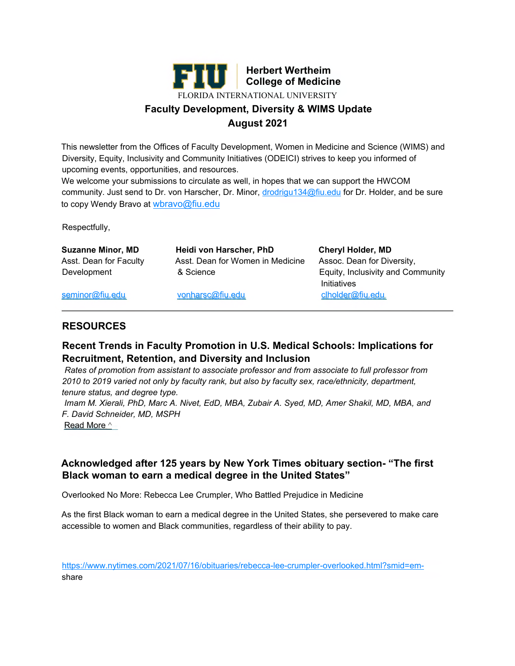

# **Faculty Development, Diversity & WIMS Update August 2021**

This newsletter from the Offices of Faculty Development, Women in Medicine and Science (WIMS) and Diversity, Equity, Inclusivity and Community Initiatives (ODEICI) strives to keep you informed of upcoming events, opportunities, and resources.

We welcome your submissions to circulate as well, in hopes that we can support the HWCOM community. Just send to Dr. von Harscher, Dr. Minor, [drodrigu134@fiu.edu](mailto:drodrigu134@fiu.edu) for Dr. Holder, and be sure to copy Wendy Bravo at [wbravo@fiu.edu](mailto:wbravo@fiu.edu)

Respectfully,

| <b>Suzanne Minor, MD</b> | Heidi von Harscher, PhD          | <b>Cheryl Holder, MD</b>          |
|--------------------------|----------------------------------|-----------------------------------|
| Asst. Dean for Faculty   | Asst. Dean for Women in Medicine | Assoc. Dean for Diversity,        |
| Development              | & Science                        | Equity, Inclusivity and Community |
|                          |                                  | Initiatives                       |
| seminor@fiu.edu          | vonharsc@fiu.edu                 | clholder@fiu.edu                  |

### **RESOURCES**

### **Recent Trends in Faculty Promotion in U.S. Medical Schools: Implications for Recruitment, Retention, and Diversity and Inclusion**

*Rates of promotion from assistant to associate professor and from associate to full professor from 2010 to 2019 varied not only by faculty rank, but also by faculty sex, race/ethnicity, department, tenure status, and degree type.*

*Imam M. Xierali, PhD, Marc A. Nivet, EdD, MBA, Zubair A. Syed, MD, Amer Shakil, MD, MBA, and F. David Schneider, MD, MSPH*

Read More ^

### **Acknowledged after 125 years by New York Times obituary section- "The first Black woman to earn a medical degree in the United States"**

Overlooked No More: Rebecca Lee Crumpler, Who Battled Prejudice in Medicine

As the first Black woman to earn a medical degree in the United States, she persevered to make care accessible to women and Black communities, regardless of their ability to pay.

[https://www.nytimes.com/2021/07/16/obituaries/rebecca-lee-crumpler-overlooked.html?smid=em](https://www.nytimes.com/2021/07/16/obituaries/rebecca-lee-crumpler-overlooked.html?smid=em-)share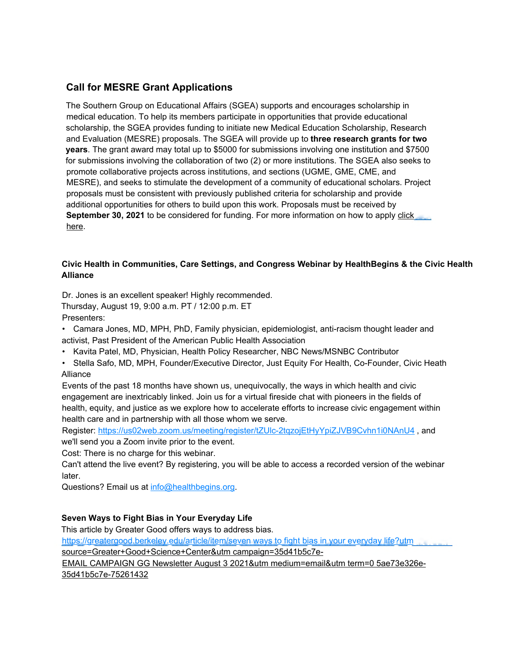## **Call for MESRE Grant Applications**

The Southern Group on Educational Affairs (SGEA) supports and encourages scholarship in medical education. To help its members participate in opportunities that provide educational scholarship, the SGEA provides funding to initiate new Medical Education Scholarship, Research and Evaluation (MESRE) proposals. The SGEA will provide up to **three research grants for two years**. The grant award may total up to \$5000 for submissions involving one institution and \$7500 for submissions involving the collaboration of two (2) or more institutions. The SGEA also seeks to promote collaborative projects across institutions, and sections (UGME, GME, CME, and MESRE), and seeks to stimulate the development of a community of educational scholars. Project proposals must be consistent with previously published criteria for scholarship and provide additional opportunities for others to build upon this work. Proposals must be received by **September 30, 2021** to be considered for funding. For more information on how to apply click here.

#### **Civic Health in Communities, Care Settings, and Congress Webinar by HealthBegins & the Civic Health Alliance**

Dr. Jones is an excellent speaker! Highly recommended.

Thursday, August 19, 9:00 a.m. PT / 12:00 p.m. ET

Presenters:

- Camara Jones, MD, MPH, PhD, Family physician, epidemiologist, anti-racism thought leader and activist, Past President of the American Public Health Association
- Kavita Patel, MD, Physician, Health Policy Researcher, NBC News/MSNBC Contributor
- Stella Safo, MD, MPH, Founder/Executive Director, Just Equity For Health, Co-Founder, Civic Heath Alliance

Events of the past 18 months have shown us, unequivocally, the ways in which health and civic engagement are inextricably linked. Join us for a virtual fireside chat with pioneers in the fields of health, equity, and justice as we explore how to accelerate efforts to increase civic engagement within health care and in partnership with all those whom we serve.

Register: <https://us02web.zoom.us/meeting/register/tZUlc-2tqzojEtHyYpiZJVB9Cvhn1i0NAnU4>, and we'll send you a Zoom invite prior to the event.

Cost: There is no charge for this webinar.

Can't attend the live event? By registering, you will be able to access a recorded version of the webinar later.

Questions? Email us at [info@healthbegins.org](mailto:info@healthbegins.org).

#### **Seven Ways to Fight Bias in Your Everyday Life**

This article by Greater Good offers ways to address bias.

[https://greatergood.berkeley.edu/article/item/seven ways to fight bias in your everyday life?utm](https://greatergood.berkeley.edu/article/item/seven_ways_to_fight_bias_in_your_everyday_life?utm) source=Greater+Good+Science+Center&utm campaign=35d41b5c7e-

EMAIL CAMPAIGN GG Newsletter August 3 2021&utm medium=email&utm term=0 5ae73e326e-35d41b5c7e-75261432